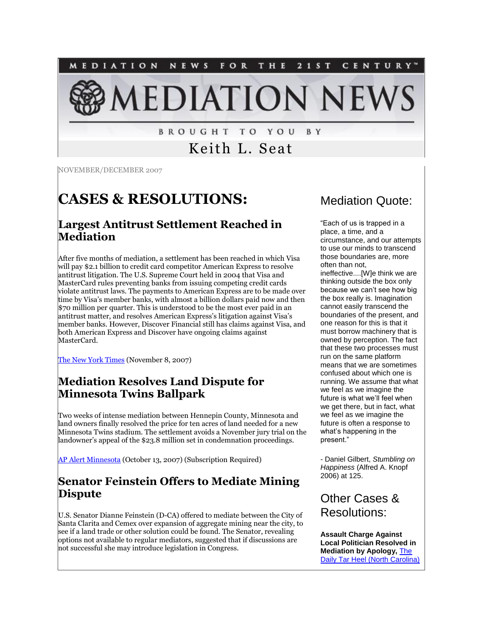

**BROUGHT TO YOU** B Y

# Keith L. Seat

NOVEMBER/DECEMBER 2007

# **CASES & RESOLUTIONS:**

#### **Largest Antitrust Settlement Reached in Mediation**

After five months of mediation, a settlement has been reached in which Visa will pay \$2.1 billion to credit card competitor American Express to resolve antitrust litigation. The U.S. Supreme Court held in 2004 that Visa and MasterCard rules preventing banks from issuing competing credit cards violate antitrust laws. The payments to American Express are to be made over time by Visa's member banks, with almost a billion dollars paid now and then \$70 million per quarter. This is understood to be the most ever paid in an antitrust matter, and resolves American Express's litigation against Visa's member banks. However, Discover Financial still has claims against Visa, and both American Express and Discover have ongoing claims against MasterCard.

[The New York Times](http://www.nytimes.com/2007/11/08/business/08visa.html?ref=business) (November 8, 2007)

### **Mediation Resolves Land Dispute for Minnesota Twins Ballpark**

Two weeks of intense mediation between Hennepin County, Minnesota and land owners finally resolved the price for ten acres of land needed for a new Minnesota Twins stadium. The settlement avoids a November jury trial on the landowner's appeal of the \$23.8 million set in condemnation proceedings.

[AP Alert Minnesota](http://tinyurl.com/3d4xhk) (October 13, 2007) (Subscription Required)

### **Senator Feinstein Offers to Mediate Mining Dispute**

U.S. Senator Dianne Feinstein (D-CA) offered to mediate between the City of Santa Clarita and Cemex over expansion of aggregate mining near the city, to see if a land trade or other solution could be found. The Senator, revealing options not available to regular mediators, suggested that if discussions are not successful she may introduce legislation in Congress.

# Mediation Quote:

"Each of us is trapped in a place, a time, and a circumstance, and our attempts to use our minds to transcend those boundaries are, more often than not, ineffective....[W]e think we are thinking outside the box only because we can't see how big the box really is. Imagination cannot easily transcend the boundaries of the present, and one reason for this is that it must borrow machinery that is owned by perception. The fact that these two processes must run on the same platform means that we are sometimes confused about which one is running. We assume that what we feel as we imagine the future is what we'll feel when we get there, but in fact, what we feel as we imagine the future is often a response to what's happening in the present."

- Daniel Gilbert, *Stumbling on Happiness* (Alfred A. Knopf 2006) at 125.

# Other Cases & Resolutions:

**Assault Charge Against Local Politician Resolved in Mediation by Apology,** [The](http://tinyurl.com/2jeht8)  [Daily Tar Heel \(North Carolina\)](http://tinyurl.com/2jeht8)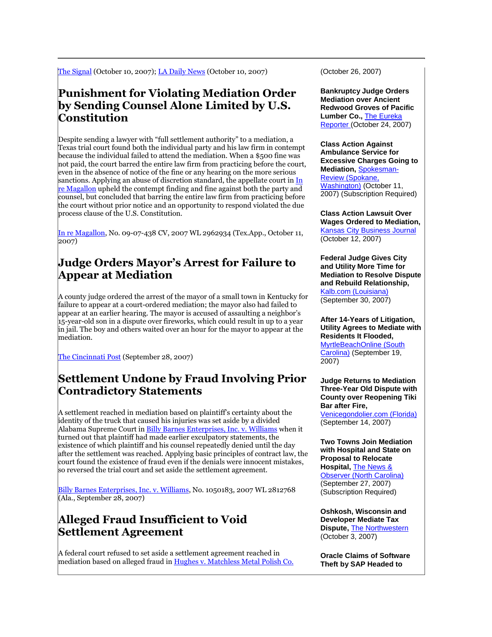[The Signal](http://www.the-signal.com/?module=displaystory&story_id=51075&format=html) (October 10, 2007); [LA Daily News](http://tinyurl.com/2jgxpr) (October 10, 2007)

### **Punishment for Violating Mediation Order by Sending Counsel Alone Limited by U.S. Constitution**

Despite sending a lawyer with "full settlement authority" to a mediation, a Texas trial court found both the individual party and his law firm in contempt because the individual failed to attend the mediation. When a \$500 fine was not paid, the court barred the entire law firm from practicing before the court, even in the absence of notice of the fine or any hearing on the more serious sanctions. Applying an abuse of discretion standard, the appellate court in In [re Magallon](http://tinyurl.com/2ljakh) upheld the contempt finding and fine against both the party and counsel, but concluded that barring the entire law firm from practicing before the court without prior notice and an opportunity to respond violated the due process clause of the U.S. Constitution.

[In re Magallon,](http://tinyurl.com/2ljakh) No. 09-07-438 CV, 2007 WL 2962934 (Tex.App., October 11, 2007)

#### **Judge Orders Mayor's Arrest for Failure to Appear at Mediation**

A county judge ordered the arrest of the mayor of a small town in Kentucky for failure to appear at a court-ordered mediation; the mayor also had failed to appear at an earlier hearing. The mayor is accused of assaulting a neighbor's 15-year-old son in a dispute over fireworks, which could result in up to a year in jail. The boy and others waited over an hour for the mayor to appear at the mediation.

[The Cincinnati Post](http://news.cincypost.com/apps/pbcs.dll/article?AID=/20070928/NEWS01/709280381) (September 28, 2007)

#### **Settlement Undone by Fraud Involving Prior Contradictory Statements**

A settlement reached in mediation based on plaintiff's certainty about the identity of the truck that caused his injuries was set aside by a divided Alabama Supreme Court i[n Billy Barnes Enterprises, Inc. v. Williams](http://www.bradleyarant.com/publications_opinions.cfm?ID=4792) when it turned out that plaintiff had made earlier exculpatory statements, the existence of which plaintiff and his counsel repeatedly denied until the day after the settlement was reached. Applying basic principles of contract law, the court found the existence of fraud even if the denials were innocent mistakes, so reversed the trial court and set aside the settlement agreement.

[Billy Barnes Enterprises, Inc. v. Williams,](http://www.bradleyarant.com/publications_opinions.cfm?ID=4792) No. 1050183, 2007 WL 2812768 (Ala., September 28, 2007)

# **Alleged Fraud Insufficient to Void Settlement Agreement**

A federal court refused to set aside a settlement agreement reached in mediation based on alleged fraud i[n Hughes v. Matchless Metal Polish Co.](http://tinyurl.com/37vgn9) (October 26, 2007)

**Bankruptcy Judge Orders Mediation over Ancient Redwood Groves of Pacific Lumber Co.,** [The Eureka](http://www.eurekareporter.com/ArticleDisplay.aspx?ArticleID=29882)  [Reporter \(](http://www.eurekareporter.com/ArticleDisplay.aspx?ArticleID=29882)October 24, 2007)

**Class Action Against Ambulance Service for Excessive Charges Going to Mediation,** [Spokesman-](http://tinyurl.com/3xqmmg)[Review \(Spokane,](http://tinyurl.com/3xqmmg)  [Washington\)](http://tinyurl.com/3xqmmg) (October 11, 2007) (Subscription Required)

**Class Action Lawsuit Over Wages Ordered to Mediation,**  [Kansas City Business Journal](http://www.bizjournals.com/kansascity/stories/2007/10/08/daily42.html?t=printable) (October 12, 2007)

**Federal Judge Gives City and Utility More Time for Mediation to Resolve Dispute and Rebuild Relationship,**  [Kalb.com \(Louisiana\)](http://tinyurl.com/38up4j) (September 30, 2007)

#### **After 14-Years of Litigation, Utility Agrees to Mediate with Residents It Flooded,**

[MyrtleBeachOnline \(South](http://www.myrtlebeachonline.com/news/local/story/192496.html)  [Carolina\)](http://www.myrtlebeachonline.com/news/local/story/192496.html) (September 19, 2007)

#### **Judge Returns to Mediation Three-Year Old Dispute with County over Reopening Tiki Bar after Fire,**

[Venicegondolier.com \(Florida\)](http://tinyurl.com/38g5n2) (September 14, 2007)

**Two Towns Join Mediation with Hospital and State on Proposal to Relocate Hospital,** [The News &](http://tinyurl.com/2vh4r8)  [Observer \(North Carolina\)](http://tinyurl.com/2vh4r8) (September 27, 2007) (Subscription Required)

**Oshkosh, Wisconsin and Developer Mediate Tax Dispute,** [The Northwestern](http://www.thenorthwestern.com/apps/pbcs.dll/article?AID=/20071003/OSH0101/710030363/1987) (October 3, 2007)

**Oracle Claims of Software Theft by SAP Headed to**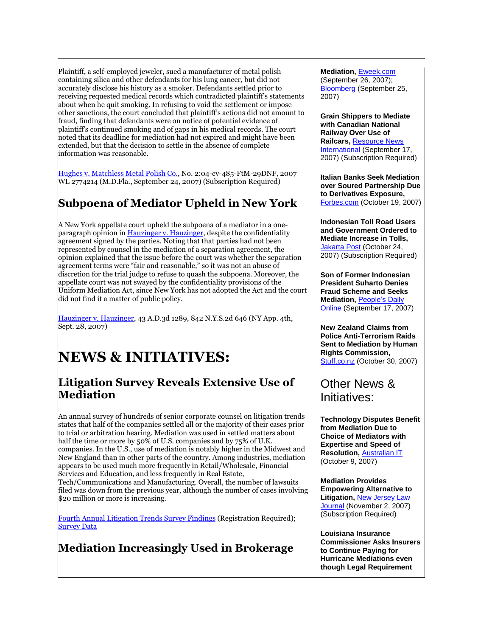Plaintiff, a self-employed jeweler, sued a manufacturer of metal polish containing silica and other defendants for his lung cancer, but did not accurately disclose his history as a smoker. Defendants settled prior to receiving requested medical records which contradicted plaintiff's statements about when he quit smoking. In refusing to void the settlement or impose other sanctions, the court concluded that plaintiff's actions did not amount to fraud, finding that defendants were on notice of potential evidence of plaintiff's continued smoking and of gaps in his medical records. The court noted that its deadline for mediation had not expired and might have been extended, but that the decision to settle in the absence of complete information was reasonable.

[Hughes v. Matchless Metal Polish Co.,](http://tinyurl.com/37vgn9) No. 2:04-cv-485-FtM-29DNF, 2007 WL 2774214 (M.D.Fla., September 24, 2007) (Subscription Required)

## **Subpoena of Mediator Upheld in New York**

A New York appellate court upheld the subpoena of a mediator in a oneparagraph opinion i[n Hauzinger v. Hauzinger,](http://www.nycourts.gov/ad4/court/Decisions/2007/09-28-07/PDF/0918.pdf) despite the confidentiality agreement signed by the parties. Noting that that parties had not been represented by counsel in the mediation of a separation agreement, the opinion explained that the issue before the court was whether the separation agreement terms were "fair and reasonable," so it was not an abuse of discretion for the trial judge to refuse to quash the subpoena. Moreover, the appellate court was not swayed by the confidentiality provisions of the Uniform Mediation Act, since New York has not adopted the Act and the court did not find it a matter of public policy.

[Hauzinger v. Hauzinger,](http://www.nycourts.gov/ad4/court/Decisions/2007/09-28-07/PDF/0918.pdf) 43 A.D.3d 1289, 842 N.Y.S.2d 646 (NY App. 4th, Sept. 28, 2007)

# **NEWS & INITIATIVES:**

#### **Litigation Survey Reveals Extensive Use of Mediation**

An annual survey of hundreds of senior corporate counsel on litigation trends states that half of the companies settled all or the majority of their cases prior to trial or arbitration hearing. Mediation was used in settled matters about half the time or more by 50% of U.S. companies and by 75% of U.K. companies. In the U.S., use of mediation is notably higher in the Midwest and New England than in other parts of the country. Among industries, mediation appears to be used much more frequently in Retail/Wholesale, Financial Services and Education, and less frequently in Real Estate,

Tech/Communications and Manufacturing. Overall, the number of lawsuits filed was down from the previous year, although the number of cases involving \$20 million or more is increasing.

[Fourth Annual Litigation Trends Survey Findings](http://www.fulbright.com/mediaroom/files/2007/FJ6438-LitTrends-v13.pdf) (Registration Required); **[Survey Data](http://www.fulbright.com/mediaroom/files/2007/2007_Litigation_Survey.pdf)** 

**Mediation Increasingly Used in Brokerage** 

#### **Mediation,** [Eweek.com](http://www.eweek.com/article2/0,1895,2189289,00.asp)

(September 26, 2007); [Bloomberg](http://www.bloomberg.com/apps/news?pid=20601100&sid=aS5vycJ0noJk&refer=germany) (September 25, 2007)

**Grain Shippers to Mediate with Canadian National Railway Over Use of Railcars,** [Resource News](http://tinyurl.com/33ob79)  [International](http://tinyurl.com/33ob79)</u> (September 17, 2007) (Subscription Required)

**Italian Banks Seek Mediation over Soured Partnership Due to Derivatives Exposure,**  [Forbes.com](http://www.forbes.com/markets/feeds/afx/2007/10/19/afx4238512.html) (October 19, 2007)

**Indonesian Toll Road Users and Government Ordered to Mediate Increase in Tolls,**  [Jakarta Post](http://tinyurl.com/32dzto) (October 24, 2007) (Subscription Required)

**Son of Former Indonesian President Suharto Denies Fraud Scheme and Seeks Mediation,** [People's Daily](http://english.people.com.cn/90001/90777/6264471.html)  [Online](http://english.people.com.cn/90001/90777/6264471.html) (September 17, 2007)

**New Zealand Claims from Police Anti-Terrorism Raids Sent to Mediation by Human Rights Commission,**  [Stuff.co.nz](http://www.stuff.co.nz/4255580a10.html) (October 30, 2007)

# Other News & Initiatives:

**Technology Disputes Benefit from Mediation Due to Choice of Mediators with Expertise and Speed of Resolution,** [Australian IT](http://www.australianit.news.com.au/story/0,24897,22551433-5013038,00.html) (October 9, 2007)

**Mediation Provides Empowering Alternative to Litigation,** [New Jersey Law](http://tinyurl.com/3asjef)  [Journal](http://tinyurl.com/3asjef) (November 2, 2007) (Subscription Required)

**Louisiana Insurance Commissioner Asks Insurers to Continue Paying for Hurricane Mediations even though Legal Requirement**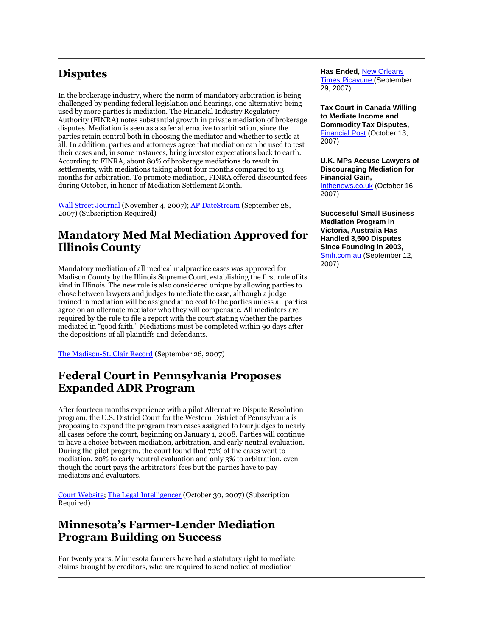# **Disputes**

In the brokerage industry, where the norm of mandatory arbitration is being challenged by pending federal legislation and hearings, one alternative being used by more parties is mediation. The Financial Industry Regulatory Authority (FINRA) notes substantial growth in private mediation of brokerage disputes. Mediation is seen as a safer alternative to arbitration, since the parties retain control both in choosing the mediator and whether to settle at all. In addition, parties and attorneys agree that mediation can be used to test their cases and, in some instances, bring investor expectations back to earth. According to FINRA, about 80% of brokerage mediations do result in settlements, with mediations taking about four months compared to 13 months for arbitration. To promote mediation, FINRA offered discounted fees during October, in honor of Mediation Settlement Month.

[Wall Street Journal](http://tinyurl.com/376e7k) (November 4, 2007)[; AP DateStream](http://tinyurl.com/33748w) (September 28, 2007) (Subscription Required)

#### **Mandatory Med Mal Mediation Approved for Illinois County**

Mandatory mediation of all medical malpractice cases was approved for Madison County by the Illinois Supreme Court, establishing the first rule of its kind in Illinois. The new rule is also considered unique by allowing parties to chose between lawyers and judges to mediate the case, although a judge trained in mediation will be assigned at no cost to the parties unless all parties agree on an alternate mediator who they will compensate. All mediators are required by the rule to file a report with the court stating whether the parties mediated in "good faith." Mediations must be completed within 90 days after the depositions of all plaintiffs and defendants.

[The Madison-St. Clair Record](http://tinyurl.com/2skmsl) (September 26, 2007)

## **Federal Court in Pennsylvania Proposes Expanded ADR Program**

After fourteen months experience with a pilot Alternative Dispute Resolution program, the U.S. District Court for the Western District of Pennsylvania is proposing to expand the program from cases assigned to four judges to nearly all cases before the court, beginning on January 1, 2008. Parties will continue to have a choice between mediation, arbitration, and early neutral evaluation. During the pilot program, the court found that 70% of the cases went to mediation, 20% to early neutral evaluation and only 3% to arbitration, even though the court pays the arbitrators' fees but the parties have to pay mediators and evaluators.

[Court Website;](http://www.pawd.uscourts.gov/) [The Legal Intelligencer](http://tinyurl.com/34ajsp) (October 30, 2007) (Subscription Required)

### **Minnesota's Farmer-Lender Mediation Program Building on Success**

For twenty years, Minnesota farmers have had a statutory right to mediate claims brought by creditors, who are required to send notice of mediation

**Has Ended,** [New Orleans](http://tinyurl.com/2r5xqt)  [Times Picayune \(](http://tinyurl.com/2r5xqt)September 29, 2007)

**Tax Court in Canada Willing to Mediate Income and Commodity Tax Disputes,**  [Financial Post](http://www.canada.com/nationalpost/financialpost/story.html?id=574aaf42-3f60-46be-89f2-0dbdeaae8cb9) (October 13, 2007)

**U.K. MPs Accuse Lawyers of Discouraging Mediation for Financial Gain,**  [Inthenews.co.uk](http://www.inthenews.co.uk/news/crime/greedy-lawyers-blamed-lack-mediation-$1150590.htm) (October 16, 2007)

**Successful Small Business Mediation Program in Victoria, Australia Has Handled 3,500 Disputes Since Founding in 2003,**  [Smh.com.au](http://smallbusiness.smh.com.au/managing/management/let) (September 12, 2007)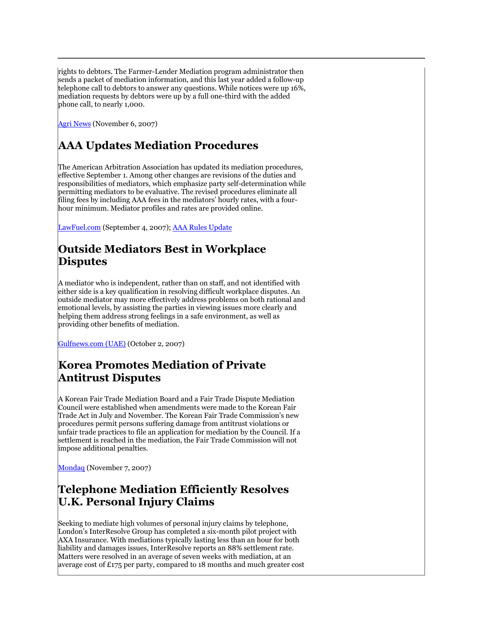rights to debtors. The Farmer-Lender Mediation program administrator then sends a packet of mediation information, and this last year added a follow-up telephone call to debtors to answer any questions. While notices were up 16%, mediation requests by debtors were up by a full one-third with the added phone call, to nearly 1,000.

[Agri News](http://webstar.postbulletin.com/agrinews/3950209737034.bsp) (November 6, 2007)

# **AAA Updates Mediation Procedures**

The American Arbitration Association has updated its mediation procedures, effective September 1. Among other changes are revisions of the duties and responsibilities of mediators, which emphasize party self-determination while permitting mediators to be evaluative. The revised procedures eliminate all filing fees by including AAA fees in the mediators' hourly rates, with a fourhour minimum. Mediator profiles and rates are provided online.

[LawFuel.com](http://lawfuel.com/show-release.asp?ID=14756) (September 4, 2007); [AAA Rules Update](http://www.adr.org/sp.asp?id=24714)

# **Outside Mediators Best in Workplace Disputes**

A mediator who is independent, rather than on staff, and not identified with either side is a key qualification in resolving difficult workplace disputes. An outside mediator may more effectively address problems on both rational and emotional levels, by assisting the parties in viewing issues more clearly and helping them address strong feelings in a safe environment, as well as providing other benefits of mediation.

[Gulfnews.com \(UAE\)](http://archive.gulfnews.com/articles/07/10/02/10157364.html) (October 2, 2007)

## **Korea Promotes Mediation of Private Antitrust Disputes**

A Korean Fair Trade Mediation Board and a Fair Trade Dispute Mediation Council were established when amendments were made to the Korean Fair Trade Act in July and November. The Korean Fair Trade Commission's new procedures permit persons suffering damage from antitrust violations or unfair trade practices to file an application for mediation by the Council. If a settlement is reached in the mediation, the Fair Trade Commission will not impose additional penalties.

[Mondaq](http://www.mondaq.com/article.asp?articleid=53888) (November 7, 2007)

### **Telephone Mediation Efficiently Resolves U.K. Personal Injury Claims**

Seeking to mediate high volumes of personal injury claims by telephone, London's InterResolve Group has completed a six-month pilot project with AXA Insurance. With mediations typically lasting less than an hour for both liability and damages issues, InterResolve reports an 88% settlement rate. Matters were resolved in an average of seven weeks with mediation, at an average cost of £175 per party, compared to 18 months and much greater cost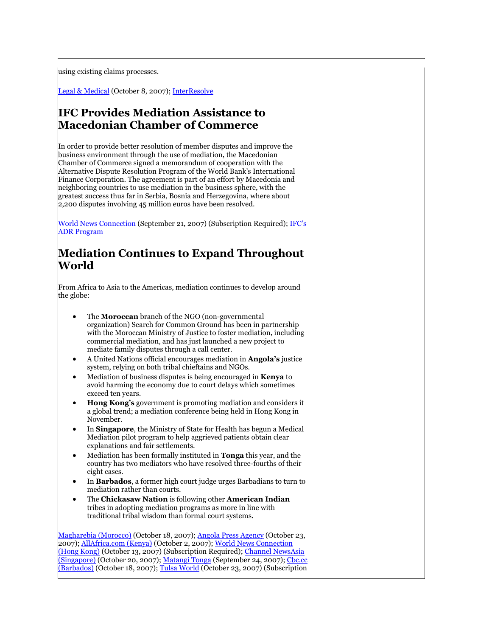using existing claims processes.

[Legal & Medical](http://www.legal-medical.co.uk/news/11644.html) (October 8, 2007)[; InterResolve](http://tinyurl.com/2u4hfl) 

#### **IFC Provides Mediation Assistance to Macedonian Chamber of Commerce**

In order to provide better resolution of member disputes and improve the business environment through the use of mediation, the Macedonian Chamber of Commerce signed a memorandum of cooperation with the Alternative Dispute Resolution Program of the World Bank's International Finance Corporation. The agreement is part of an effort by Macedonia and neighboring countries to use mediation in the business sphere, with the greatest success thus far in Serbia, Bosnia and Herzegovina, where about 2,200 disputes involving 45 million euros have been resolved.

[World News Connection](http://tinyurl.com/2osrau) (September 21, 2007) (Subscription Required); IFC's [ADR Program](http://www.ifc.org/ifcext/pepse.nsf/Content/ADR_About)

### **Mediation Continues to Expand Throughout World**

From Africa to Asia to the Americas, mediation continues to develop around the globe:

- The **Moroccan** branch of the NGO (non-governmental organization) Search for Common Ground has been in partnership with the Moroccan Ministry of Justice to foster mediation, including commercial mediation, and has just launched a new project to mediate family disputes through a call center.
- A United Nations official encourages mediation in **Angola's** justice system, relying on both tribal chieftains and NGOs.
- Mediation of business disputes is being encouraged in **Kenya** to avoid harming the economy due to court delays which sometimes exceed ten years.
- **Hong Kong's** government is promoting mediation and considers it a global trend; a mediation conference being held in Hong Kong in November.
- In **Singapore**, the Ministry of State for Health has begun a Medical Mediation pilot program to help aggrieved patients obtain clear explanations and fair settlements.
- Mediation has been formally instituted in **Tonga** this year, and the country has two mediators who have resolved three-fourths of their eight cases.
- In **Barbados**, a former high court judge urges Barbadians to turn to mediation rather than courts.
- The **Chickasaw Nation** is following other **American Indian** tribes in adopting mediation programs as more in line with traditional tribal wisdom than formal court systems.

[Magharebia \(Morocco\)](http://tinyurl.com/2w96eq) (October 18, 2007); [Angola Press Agency](http://allafrica.com/stories/200710230800.html) (October 23, 2007)[; AllAfrica.com \(Kenya\)](http://allafrica.com/stories/200710021003.html) (October 2, 2007)[; World News Connection](http://tinyurl.com/2fcz73)  [\(Hong Kong\)](http://tinyurl.com/2fcz73) (October 13, 2007) (Subscription Required); Channel NewsAsia [\(Singapore\)](http://www.channelnewsasia.com/stories/singaporelocalnews/view/306693/1/.html) (October 20, 2007); [Matangi Tonga](http://tinyurl.com/3236kn) (September 24, 2007); Cbc.cc [\(Barbados\)](http://www.cbc.bb/content/view/12911/10/) (October 18, 2007); [Tulsa World](http://tinyurl.com/3ynec4) (October 23, 2007) (Subscription